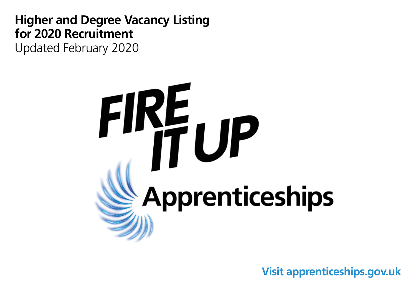**Higher and Degree Vacancy Listing for 2020 Recruitment** Updated February 2020



**Visit apprenticeships.gov.uk**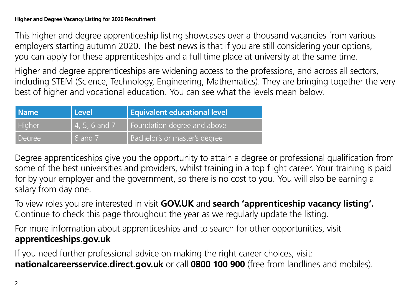This higher and degree apprenticeship listing showcases over a thousand vacancies from various employers starting autumn 2020. The best news is that if you are still considering your options, you can apply for these apprenticeships and a full time place at university at the same time.

Higher and degree apprenticeships are widening access to the professions, and across all sectors, including STEM (Science, Technology, Engineering, Mathematics). They are bringing together the very best of higher and vocational education. You can see what the levels mean below.

| <b>Name</b> | Level           | <b>Equivalent educational level</b> |
|-------------|-----------------|-------------------------------------|
| Higher      | $4, 5, 6$ and 7 | Foundation degree and above         |
| Degree      | 6 and 7         | Bachelor's or master's degree       |

Degree apprenticeships give you the opportunity to attain a degree or professional qualification from some of the best universities and providers, whilst training in a top flight career. Your training is paid for by your employer and the government, so there is no cost to you. You will also be earning a salary from day one.

To view roles you are interested in visit **GOV.UK** and **search 'apprenticeship vacancy listing'.** Continue to check this page throughout the year as we regularly update the listing.

For more information about apprenticeships and to search for other opportunities, visit **apprenticeships.gov.uk**

If you need further professional advice on making the right career choices, visit: **nationalcareersservice.direct.gov.uk** or call **0800 100 900** (free from landlines and mobiles).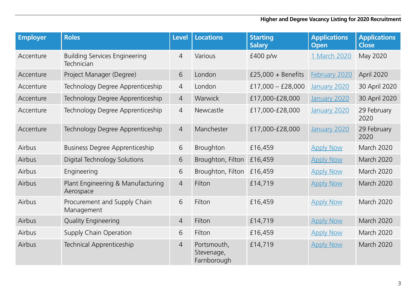| <b>Employer</b> | <b>Roles</b>                                       | <b>Level</b>   | <b>Locations</b>                         | <b>Starting</b><br><b>Salary</b> | <b>Applications</b><br><b>Open</b> | <b>Applications</b><br><b>Close</b> |
|-----------------|----------------------------------------------------|----------------|------------------------------------------|----------------------------------|------------------------------------|-------------------------------------|
| Accenture       | <b>Building Services Engineering</b><br>Technician | $\overline{4}$ | Various                                  | £400 p/w                         | 1 March 2020                       | May 2020                            |
| Accenture       | Project Manager (Degree)                           | 6              | London                                   | £25,000 + Benefits               | February 2020                      | April 2020                          |
| Accenture       | Technology Degree Apprenticeship                   | 4              | London                                   | $£17,000 - £28,000$              | January 2020                       | 30 April 2020                       |
| Accenture       | Technology Degree Apprenticeship                   | 4              | Warwick                                  | £17,000-£28,000                  | January 2020                       | 30 April 2020                       |
| Accenture       | Technology Degree Apprenticeship                   | $\overline{4}$ | Newcastle                                | £17,000-£28,000                  | January 2020                       | 29 February<br>2020                 |
| Accenture       | Technology Degree Apprenticeship                   | $\overline{4}$ | Manchester                               | £17,000-£28,000                  | January 2020                       | 29 February<br>2020                 |
| Airbus          | <b>Business Degree Apprenticeship</b>              | 6              | Broughton                                | £16,459                          | <b>Apply Now</b>                   | March 2020                          |
| Airbus          | Digital Technology Solutions                       | 6              | Broughton, Filton                        | £16,459                          | <b>Apply Now</b>                   | March 2020                          |
| Airbus          | Engineering                                        | 6              | Broughton, Filton                        | £16,459                          | <b>Apply Now</b>                   | March 2020                          |
| Airbus          | Plant Engineering & Manufacturing<br>Aerospace     | $\overline{4}$ | Filton                                   | £14,719                          | <b>Apply Now</b>                   | <b>March 2020</b>                   |
| Airbus          | Procurement and Supply Chain<br>Management         | 6              | Filton                                   | £16,459                          | <b>Apply Now</b>                   | March 2020                          |
| Airbus          | <b>Quality Engineering</b>                         | $\overline{4}$ | Filton                                   | £14,719                          | <b>Apply Now</b>                   | March 2020                          |
| Airbus          | Supply Chain Operation                             | 6              | Filton                                   | £16,459                          | <b>Apply Now</b>                   | March 2020                          |
| Airbus          | Technical Apprenticeship                           | $\overline{4}$ | Portsmouth,<br>Stevenage,<br>Farnborough | £14,719                          | <b>Apply Now</b>                   | March 2020                          |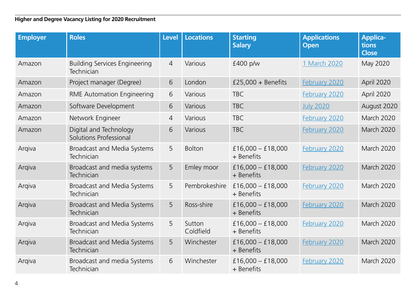| <b>Employer</b> | <b>Roles</b>                                       | <b>Level</b> | <b>Locations</b>    | <b>Starting</b><br><b>Salary</b>  | <b>Applications</b><br><b>Open</b> | <b>Applica-</b><br>tions<br><b>Close</b> |
|-----------------|----------------------------------------------------|--------------|---------------------|-----------------------------------|------------------------------------|------------------------------------------|
| Amazon          | <b>Building Services Engineering</b><br>Technician | 4            | Various             | £400 p/w                          | 1 March 2020                       | May 2020                                 |
| Amazon          | Project manager (Degree)                           | 6            | London              | $£25,000 + \text{Benefits}$       | February 2020                      | April 2020                               |
| Amazon          | <b>RME Automation Engineering</b>                  | 6            | Various             | <b>TBC</b>                        | February 2020                      | April 2020                               |
| Amazon          | Software Development                               | 6            | Various             | <b>TBC</b>                        | <b>July 2020</b>                   | August 2020                              |
| Amazon          | Network Engineer                                   | 4            | Various             | <b>TBC</b>                        | February 2020                      | March 2020                               |
| Amazon          | Digital and Technology<br>Solutions Professional   | 6            | Various             | <b>TBC</b>                        | February 2020                      | March 2020                               |
| Arqiva          | Broadcast and Media Systems<br>Technician          | 5            | <b>Bolton</b>       | £16,000 - £18,000<br>+ Benefits   | February 2020                      | <b>March 2020</b>                        |
| Arqiva          | Broadcast and media systems<br>Technician          | 5            | Emley moor          | $£16,000 - £18,000$<br>+ Benefits | February 2020                      | <b>March 2020</b>                        |
| Arqiva          | Broadcast and Media Systems<br>Technician          | 5            | Pembrokeshire       | $£16,000 - £18,000$<br>+ Benefits | <b>February 2020</b>               | <b>March 2020</b>                        |
| Arqiva          | Broadcast and Media Systems<br>Technician          | 5            | Ross-shire          | $£16,000 - £18,000$<br>+ Benefits | February 2020                      | <b>March 2020</b>                        |
| Arqiva          | Broadcast and Media Systems<br>Technician          | 5            | Sutton<br>Coldfield | £16,000 - £18,000<br>+ Benefits   | February 2020                      | March 2020                               |
| Arqiva          | Broadcast and Media Systems<br>Technician          | 5            | Winchester          | £16,000 - £18,000<br>+ Benefits   | February 2020                      | March 2020                               |
| Arqiva          | Broadcast and media Systems<br>Technician          | 6            | Winchester          | £16,000 $-$ £18,000<br>+ Benefits | February 2020                      | <b>March 2020</b>                        |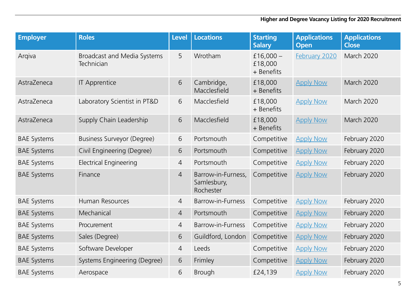| <b>Employer</b>    | <b>Roles</b>                              | <b>Level</b>   | <b>Locations</b>                               | <b>Starting</b><br><b>Salary</b>     | <b>Applications</b><br><b>Open</b> | <b>Applications</b><br><b>Close</b> |
|--------------------|-------------------------------------------|----------------|------------------------------------------------|--------------------------------------|------------------------------------|-------------------------------------|
| Argiva             | Broadcast and Media Systems<br>Technician | 5              | Wrotham                                        | £16,000 $-$<br>£18,000<br>+ Benefits | February 2020                      | March 2020                          |
| AstraZeneca        | <b>IT Apprentice</b>                      | 6              | Cambridge,<br>Macclesfield                     | £18,000<br>+ Benefits                | <b>Apply Now</b>                   | March 2020                          |
| AstraZeneca        | Laboratory Scientist in PT&D              | 6              | Macclesfield                                   | £18,000<br>+ Benefits                | <b>Apply Now</b>                   | March 2020                          |
| AstraZeneca        | Supply Chain Leadership                   | 6              | Macclesfield                                   | £18,000<br>+ Benefits                | <b>Apply Now</b>                   | March 2020                          |
| <b>BAE Systems</b> | <b>Business Surveyor (Degree)</b>         | 6              | Portsmouth                                     | Competitive                          | <b>Apply Now</b>                   | February 2020                       |
| <b>BAE Systems</b> | Civil Engineering (Degree)                | 6              | Portsmouth                                     | Competitive                          | <b>Apply Now</b>                   | February 2020                       |
| <b>BAE Systems</b> | <b>Electrical Engineering</b>             | $\overline{4}$ | Portsmouth                                     | Competitive                          | <b>Apply Now</b>                   | February 2020                       |
| <b>BAE Systems</b> | Finance                                   | $\overline{4}$ | Barrow-in-Furness,<br>Samlesbury,<br>Rochester | Competitive                          | <b>Apply Now</b>                   | February 2020                       |
| <b>BAE Systems</b> | Human Resources                           | $\overline{4}$ | Barrow-in-Furness                              | Competitive                          | <b>Apply Now</b>                   | February 2020                       |
| <b>BAE Systems</b> | Mechanical                                | $\overline{4}$ | Portsmouth                                     | Competitive                          | <b>Apply Now</b>                   | February 2020                       |
| <b>BAE Systems</b> | Procurement                               | 4              | Barrow-in-Furness                              | Competitive                          | <b>Apply Now</b>                   | February 2020                       |
| <b>BAE Systems</b> | Sales (Degree)                            | 6              | Guildford, London                              | Competitive                          | <b>Apply Now</b>                   | February 2020                       |
| <b>BAE Systems</b> | Software Developer                        | $\overline{4}$ | Leeds                                          | Competitive                          | <b>Apply Now</b>                   | February 2020                       |
| <b>BAE Systems</b> | Systems Engineering (Degree)              | 6              | Frimley                                        | Competitive                          | <b>Apply Now</b>                   | February 2020                       |
| <b>BAE Systems</b> | Aerospace                                 | 6              | <b>Brough</b>                                  | £24,139                              | <b>Apply Now</b>                   | February 2020                       |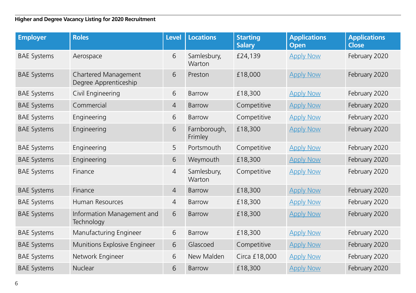| <b>Employer</b>    | <b>Roles</b>                                  | <b>Level</b>   | <b>Locations</b>        | <b>Starting</b><br><b>Salary</b> | <b>Applications</b><br><b>Open</b> | <b>Applications</b><br><b>Close</b> |
|--------------------|-----------------------------------------------|----------------|-------------------------|----------------------------------|------------------------------------|-------------------------------------|
| <b>BAE Systems</b> | Aerospace                                     | 6              | Samlesbury,<br>Warton   | £24,139                          | <b>Apply Now</b>                   | February 2020                       |
| <b>BAE Systems</b> | Chartered Management<br>Degree Apprenticeship | 6              | Preston                 | £18,000                          | <b>Apply Now</b>                   | February 2020                       |
| <b>BAE Systems</b> | Civil Engineering                             | 6              | Barrow                  | £18,300                          | <b>Apply Now</b>                   | February 2020                       |
| <b>BAE Systems</b> | Commercial                                    | $\overline{4}$ | Barrow                  | Competitive                      | <b>Apply Now</b>                   | February 2020                       |
| <b>BAE Systems</b> | Engineering                                   | 6              | Barrow                  | Competitive                      | <b>Apply Now</b>                   | February 2020                       |
| <b>BAE Systems</b> | Engineering                                   | 6              | Farnborough,<br>Frimley | £18,300                          | <b>Apply Now</b>                   | February 2020                       |
| <b>BAE Systems</b> | Engineering                                   | 5              | Portsmouth              | Competitive                      | <b>Apply Now</b>                   | February 2020                       |
| <b>BAE Systems</b> | Engineering                                   | 6              | Weymouth                | £18,300                          | <b>Apply Now</b>                   | February 2020                       |
| <b>BAE Systems</b> | Finance                                       | $\overline{4}$ | Samlesbury,<br>Warton   | Competitive                      | <b>Apply Now</b>                   | February 2020                       |
| <b>BAE Systems</b> | Finance                                       | $\overline{4}$ | Barrow                  | £18,300                          | <b>Apply Now</b>                   | February 2020                       |
| <b>BAE Systems</b> | Human Resources                               | $\overline{4}$ | Barrow                  | £18,300                          | <b>Apply Now</b>                   | February 2020                       |
| <b>BAE Systems</b> | Information Management and<br>Technology      | 6              | Barrow                  | £18,300                          | <b>Apply Now</b>                   | February 2020                       |
| <b>BAE Systems</b> | Manufacturing Engineer                        | 6              | Barrow                  | £18,300                          | <b>Apply Now</b>                   | February 2020                       |
| <b>BAE Systems</b> | Munitions Explosive Engineer                  | 6              | Glascoed                | Competitive                      | <b>Apply Now</b>                   | February 2020                       |
| <b>BAE Systems</b> | Network Engineer                              | 6              | New Malden              | Circa £18,000                    | <b>Apply Now</b>                   | February 2020                       |
| <b>BAE Systems</b> | <b>Nuclear</b>                                | 6              | Barrow                  | £18,300                          | <b>Apply Now</b>                   | February 2020                       |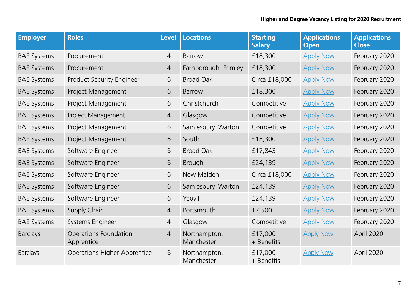| <b>Employer</b>    | <b>Roles</b>                        | <b>Level</b>   | <b>Locations</b>           | <b>Starting</b><br><b>Salary</b> | <b>Applications</b><br><b>Open</b> | <b>Applications</b><br><b>Close</b> |
|--------------------|-------------------------------------|----------------|----------------------------|----------------------------------|------------------------------------|-------------------------------------|
| <b>BAE Systems</b> | Procurement                         | $\overline{4}$ | Barrow                     | £18,300                          | <b>Apply Now</b>                   | February 2020                       |
| <b>BAE Systems</b> | Procurement                         | $\overline{4}$ | Farnborough, Frimley       | £18,300                          | <b>Apply Now</b>                   | February 2020                       |
| <b>BAE Systems</b> | Product Security Engineer           | 6              | <b>Broad Oak</b>           | Circa £18,000                    | <b>Apply Now</b>                   | February 2020                       |
| <b>BAE Systems</b> | Project Management                  | 6              | Barrow                     | £18,300                          | <b>Apply Now</b>                   | February 2020                       |
| <b>BAE Systems</b> | Project Management                  | 6              | Christchurch               | Competitive                      | <b>Apply Now</b>                   | February 2020                       |
| <b>BAE Systems</b> | Project Management                  | $\overline{4}$ | Glasgow                    | Competitive                      | <b>Apply Now</b>                   | February 2020                       |
| <b>BAE Systems</b> | Project Management                  | 6              | Samlesbury, Warton         | Competitive                      | <b>Apply Now</b>                   | February 2020                       |
| <b>BAE Systems</b> | Project Management                  | 6              | South                      | £18,300                          | <b>Apply Now</b>                   | February 2020                       |
| <b>BAE Systems</b> | Software Engineer                   | 6              | <b>Broad Oak</b>           | £17,843                          | <b>Apply Now</b>                   | February 2020                       |
| <b>BAE Systems</b> | Software Engineer                   | 6              | Brough                     | £24,139                          | <b>Apply Now</b>                   | February 2020                       |
| <b>BAE Systems</b> | Software Engineer                   | 6              | New Malden                 | Circa £18,000                    | <b>Apply Now</b>                   | February 2020                       |
| <b>BAE Systems</b> | Software Engineer                   | 6              | Samlesbury, Warton         | £24,139                          | <b>Apply Now</b>                   | February 2020                       |
| <b>BAE Systems</b> | Software Engineer                   | 6              | Yeovil                     | £24,139                          | <b>Apply Now</b>                   | February 2020                       |
| <b>BAE Systems</b> | Supply Chain                        | $\overline{4}$ | Portsmouth                 | 17,500                           | <b>Apply Now</b>                   | February 2020                       |
| <b>BAE Systems</b> | Systems Engineer                    | $\overline{4}$ | Glasgow                    | Competitive                      | <b>Apply Now</b>                   | February 2020                       |
| <b>Barclays</b>    | Operations Foundation<br>Apprentice | $\overline{4}$ | Northampton,<br>Manchester | £17,000<br>+ Benefits            | <b>Apply Now</b>                   | April 2020                          |
| <b>Barclays</b>    | <b>Operations Higher Apprentice</b> | 6              | Northampton,<br>Manchester | £17,000<br>+ Benefits            | <b>Apply Now</b>                   | April 2020                          |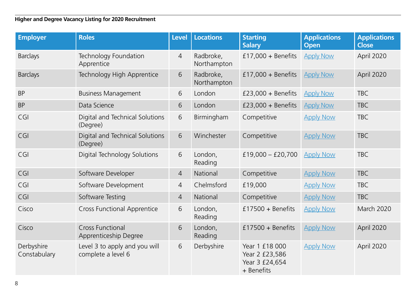| <b>Employer</b>            | <b>Roles</b>                                        | <b>Level</b>   | <b>Locations</b>         | <b>Starting</b><br><b>Salary</b>                                 | <b>Applications</b><br><b>Open</b> | <b>Applications</b><br><b>Close</b> |
|----------------------------|-----------------------------------------------------|----------------|--------------------------|------------------------------------------------------------------|------------------------------------|-------------------------------------|
| <b>Barclays</b>            | Technology Foundation<br>Apprentice                 | 4              | Radbroke,<br>Northampton | £17,000 + Benefits                                               | <b>Apply Now</b>                   | April 2020                          |
| <b>Barclays</b>            | Technology High Apprentice                          | 6              | Radbroke,<br>Northampton | £17,000 + Benefits                                               | <b>Apply Now</b>                   | April 2020                          |
| <b>BP</b>                  | <b>Business Management</b>                          | 6              | London                   | $£23,000 + Benefits$                                             | <b>Apply Now</b>                   | <b>TBC</b>                          |
| <b>BP</b>                  | Data Science                                        | 6              | London                   | $£23,000 + \text{Benefits}$                                      | <b>Apply Now</b>                   | <b>TBC</b>                          |
| CGI                        | Digital and Technical Solutions<br>(Degree)         | 6              | Birmingham               | Competitive                                                      | <b>Apply Now</b>                   | <b>TBC</b>                          |
| CGI                        | Digital and Technical Solutions<br>(Degree)         | 6              | Winchester               | Competitive                                                      | <b>Apply Now</b>                   | <b>TBC</b>                          |
| CGI                        | Digital Technology Solutions                        | 6              | London,<br>Reading       | $£19,000 - £20,700$                                              | <b>Apply Now</b>                   | <b>TBC</b>                          |
| CGI                        | Software Developer                                  | $\overline{4}$ | National                 | Competitive                                                      | <b>Apply Now</b>                   | <b>TBC</b>                          |
| CGI                        | Software Development                                | 4              | Chelmsford               | £19,000                                                          | <b>Apply Now</b>                   | <b>TBC</b>                          |
| CGI                        | Software Testing                                    | $\overline{4}$ | National                 | Competitive                                                      | <b>Apply Now</b>                   | <b>TBC</b>                          |
| Cisco                      | <b>Cross Functional Apprentice</b>                  | 6              | London,<br>Reading       | £17500 + Benefits                                                | <b>Apply Now</b>                   | March 2020                          |
| Cisco                      | <b>Cross Functional</b><br>Apprenticeship Degree    | 6              | London,<br>Reading       | $£17500 + Benefits$                                              | <b>Apply Now</b>                   | April 2020                          |
| Derbyshire<br>Constabulary | Level 3 to apply and you will<br>complete a level 6 | 6              | Derbyshire               | Year 1 £18 000<br>Year 2 £23,586<br>Year 3 £24,654<br>+ Benefits | <b>Apply Now</b>                   | April 2020                          |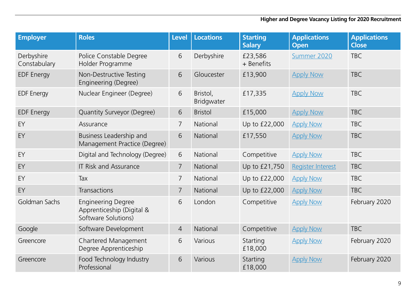| <b>Employer</b>            | <b>Roles</b>                                                                  | Level          | <b>Locations</b>       | <b>Starting</b><br><b>Salary</b> | <b>Applications</b><br><b>Open</b> | <b>Applications</b><br><b>Close</b> |
|----------------------------|-------------------------------------------------------------------------------|----------------|------------------------|----------------------------------|------------------------------------|-------------------------------------|
| Derbyshire<br>Constabulary | Police Constable Degree<br>Holder Programme                                   | 6              | Derbyshire             | £23,586<br>+ Benefits            | Summer 2020                        | <b>TBC</b>                          |
| <b>EDF Energy</b>          | Non-Destructive Testing<br>Engineering (Degree)                               | 6              | Gloucester             | £13,900                          | <b>Apply Now</b>                   | <b>TBC</b>                          |
| <b>EDF</b> Energy          | Nuclear Engineer (Degree)                                                     | 6              | Bristol,<br>Bridgwater | £17,335                          | <b>Apply Now</b>                   | <b>TBC</b>                          |
| <b>EDF</b> Energy          | Quantity Surveyor (Degree)                                                    | 6              | <b>Bristol</b>         | £15,000                          | <b>Apply Now</b>                   | <b>TBC</b>                          |
| EY                         | Assurance                                                                     | $\overline{7}$ | National               | Up to £22,000                    | <b>Apply Now</b>                   | <b>TBC</b>                          |
| EY                         | Business Leadership and<br>Management Practice (Degree)                       | 6              | National               | £17,550                          | <b>Apply Now</b>                   | <b>TBC</b>                          |
| EY                         | Digital and Technology (Degree)                                               | 6              | <b>National</b>        | Competitive                      | <b>Apply Now</b>                   | <b>TBC</b>                          |
| EY                         | <b>IT Risk and Assurance</b>                                                  | 7              | National               | Up to £21,750                    | <b>Register Interest</b>           | <b>TBC</b>                          |
| EY                         | Tax                                                                           | 7              | National               | Up to £22,000                    | <b>Apply Now</b>                   | <b>TBC</b>                          |
| EY                         | Transactions                                                                  | $\overline{7}$ | National               | Up to £22,000                    | <b>Apply Now</b>                   | <b>TBC</b>                          |
| Goldman Sachs              | <b>Engineering Degree</b><br>Apprenticeship (Digital &<br>Software Solutions) | 6              | London                 | Competitive                      | <b>Apply Now</b>                   | February 2020                       |
| Google                     | Software Development                                                          | 4              | National               | Competitive                      | <b>Apply Now</b>                   | <b>TBC</b>                          |
| Greencore                  | Chartered Management<br>Degree Apprenticeship                                 | 6              | Various                | Starting<br>£18,000              | <b>Apply Now</b>                   | February 2020                       |
| Greencore                  | Food Technology Industry<br>Professional                                      | 6              | Various                | Starting<br>£18,000              | <b>Apply Now</b>                   | February 2020                       |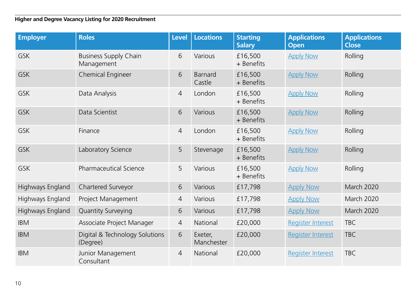| <b>Employer</b>  | <b>Roles</b>                               | <b>Level</b>   | Locations             | <b>Starting</b><br><b>Salary</b> | <b>Applications</b><br><b>Open</b> | <b>Applications</b><br><b>Close</b> |
|------------------|--------------------------------------------|----------------|-----------------------|----------------------------------|------------------------------------|-------------------------------------|
| <b>GSK</b>       | <b>Business Supply Chain</b><br>Management | 6              | Various               | £16,500<br>+ Benefits            | <b>Apply Now</b>                   | Rolling                             |
| <b>GSK</b>       | Chemical Engineer                          | 6              | Barnard<br>Castle     | £16,500<br>+ Benefits            | <b>Apply Now</b>                   | Rolling                             |
| <b>GSK</b>       | Data Analysis                              | $\overline{4}$ | London                | £16,500<br>+ Benefits            | <b>Apply Now</b>                   | Rolling                             |
| <b>GSK</b>       | Data Scientist                             | 6              | Various               | £16,500<br>+ Benefits            | <b>Apply Now</b>                   | Rolling                             |
| <b>GSK</b>       | Finance                                    | 4              | London                | £16,500<br>+ Benefits            | <b>Apply Now</b>                   | Rolling                             |
| <b>GSK</b>       | Laboratory Science                         | 5              | Stevenage             | £16,500<br>+ Benefits            | <b>Apply Now</b>                   | Rolling                             |
| <b>GSK</b>       | <b>Pharmaceutical Science</b>              | 5              | Various               | £16,500<br>+ Benefits            | <b>Apply Now</b>                   | Rolling                             |
| Highways England | Chartered Surveyor                         | 6              | Various               | £17,798                          | <b>Apply Now</b>                   | March 2020                          |
| Highways England | Project Management                         | $\overline{4}$ | Various               | £17,798                          | <b>Apply Now</b>                   | March 2020                          |
| Highways England | Quantity Surveying                         | 6              | Various               | £17,798                          | <b>Apply Now</b>                   | March 2020                          |
| <b>IBM</b>       | Associate Project Manager                  | 4              | National              | £20,000                          | Register Interest                  | <b>TBC</b>                          |
| <b>IBM</b>       | Digital & Technology Solutions<br>(Degree) | 6              | Exeter,<br>Manchester | £20,000                          | <b>Register Interest</b>           | <b>TBC</b>                          |
| <b>IBM</b>       | Junior Management<br>Consultant            | $\overline{4}$ | National              | £20,000                          | <b>Register Interest</b>           | <b>TBC</b>                          |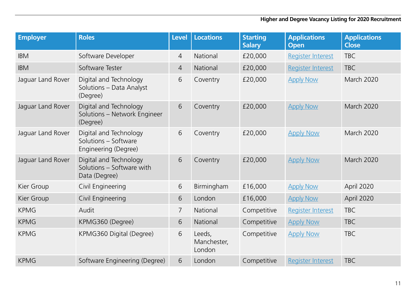| <b>Employer</b>   | <b>Roles</b>                                                           | <b>Level</b>   | <b>Locations</b>                | <b>Starting</b><br><b>Salary</b> | <b>Applications</b><br>Open | <b>Applications</b><br><b>Close</b> |
|-------------------|------------------------------------------------------------------------|----------------|---------------------------------|----------------------------------|-----------------------------|-------------------------------------|
| <b>IBM</b>        | Software Developer                                                     | 4              | <b>National</b>                 | £20,000                          | <b>Register Interest</b>    | <b>TBC</b>                          |
| <b>IBM</b>        | Software Tester                                                        | $\overline{4}$ | National                        | £20,000                          | Register Interest           | <b>TBC</b>                          |
| Jaguar Land Rover | Digital and Technology<br>Solutions - Data Analyst<br>(Degree)         | 6              | Coventry                        | £20,000                          | <b>Apply Now</b>            | March 2020                          |
| Jaguar Land Rover | Digital and Technology<br>Solutions - Network Engineer<br>(Degree)     | 6              | Coventry                        | £20,000                          | <b>Apply Now</b>            | <b>March 2020</b>                   |
| Jaguar Land Rover | Digital and Technology<br>Solutions – Software<br>Engineering (Degree) | 6              | Coventry                        | £20,000                          | <b>Apply Now</b>            | <b>March 2020</b>                   |
| Jaguar Land Rover | Digital and Technology<br>Solutions - Software with<br>Data (Degree)   | 6              | Coventry                        | £20,000                          | <b>Apply Now</b>            | March 2020                          |
| Kier Group        | Civil Engineering                                                      | 6              | Birmingham                      | £16,000                          | <b>Apply Now</b>            | April 2020                          |
| Kier Group        | Civil Engineering                                                      | 6              | London                          | £16,000                          | <b>Apply Now</b>            | April 2020                          |
| <b>KPMG</b>       | Audit                                                                  | 7              | National                        | Competitive                      | <b>Register Interest</b>    | <b>TBC</b>                          |
| <b>KPMG</b>       | KPMG360 (Degree)                                                       | 6              | National                        | Competitive                      | <b>Apply Now</b>            | <b>TBC</b>                          |
| <b>KPMG</b>       | KPMG360 Digital (Degree)                                               | 6              | Leeds,<br>Manchester,<br>London | Competitive                      | <b>Apply Now</b>            | <b>TBC</b>                          |
| <b>KPMG</b>       | Software Engineering (Degree)                                          | 6              | London                          | Competitive                      | <b>Register Interest</b>    | <b>TBC</b>                          |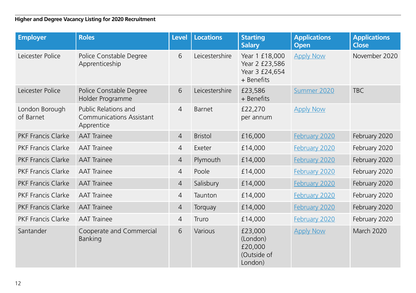| <b>Employer</b>             | <b>Roles</b>                                                          | Level          | <b>Locations</b> | <b>Starting</b><br><b>Salary</b>                                 | <b>Applications</b><br><b>Open</b> | <b>Applications</b><br><b>Close</b> |
|-----------------------------|-----------------------------------------------------------------------|----------------|------------------|------------------------------------------------------------------|------------------------------------|-------------------------------------|
| Leicester Police            | Police Constable Degree<br>Apprenticeship                             | 6              | Leicestershire   | Year 1 £18,000<br>Year 2 £23,586<br>Year 3 £24,654<br>+ Benefits | <b>Apply Now</b>                   | November 2020                       |
| Leicester Police            | Police Constable Degree<br>Holder Programme                           | 6              | Leicestershire   | £23,586<br>+ Benefits                                            | Summer 2020                        | <b>TBC</b>                          |
| London Borough<br>of Barnet | Public Relations and<br><b>Communications Assistant</b><br>Apprentice | $\overline{4}$ | Barnet           | £22,270<br>per annum                                             | <b>Apply Now</b>                   |                                     |
| PKF Francis Clarke          | <b>AAT Trainee</b>                                                    | $\overline{4}$ | <b>Bristol</b>   | £16,000                                                          | February 2020                      | February 2020                       |
| <b>PKF Francis Clarke</b>   | <b>AAT Trainee</b>                                                    | 4              | Exeter           | £14,000                                                          | February 2020                      | February 2020                       |
| <b>PKF Francis Clarke</b>   | <b>AAT Trainee</b>                                                    | $\overline{4}$ | Plymouth         | £14,000                                                          | February 2020                      | February 2020                       |
| <b>PKF Francis Clarke</b>   | <b>AAT Trainee</b>                                                    | $\overline{4}$ | Poole            | £14,000                                                          | February 2020                      | February 2020                       |
| <b>PKF Francis Clarke</b>   | <b>AAT Trainee</b>                                                    | $\overline{4}$ | Salisbury        | £14,000                                                          | February 2020                      | February 2020                       |
| <b>PKF Francis Clarke</b>   | <b>AAT Trainee</b>                                                    | $\overline{4}$ | Taunton          | £14,000                                                          | February 2020                      | February 2020                       |
| <b>PKF Francis Clarke</b>   | <b>AAT Trainee</b>                                                    | $\overline{4}$ | Torquay          | £14,000                                                          | February 2020                      | February 2020                       |
| <b>PKF Francis Clarke</b>   | <b>AAT Trainee</b>                                                    | $\overline{4}$ | Truro            | £14,000                                                          | February 2020                      | February 2020                       |
| Santander                   | Cooperate and Commercial<br>Banking                                   | 6              | Various          | £23,000<br>(London)<br>£20,000<br>(Outside of<br>London)         | <b>Apply Now</b>                   | March 2020                          |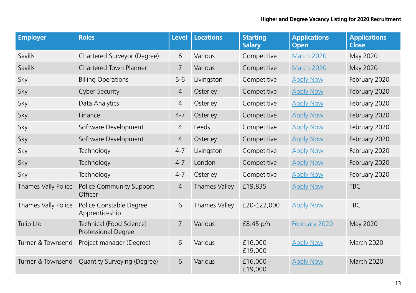| <b>Employer</b>     | <b>Roles</b>                                    | <b>Level</b>   | <b>Locations</b> | <b>Starting</b><br><b>Salary</b> | <b>Applications</b><br><b>Open</b> | <b>Applications</b><br><b>Close</b> |
|---------------------|-------------------------------------------------|----------------|------------------|----------------------------------|------------------------------------|-------------------------------------|
| Savills             | Chartered Surveyor (Degree)                     | 6              | Various          | Competitive                      | <b>March 2020</b>                  | May 2020                            |
| Savills             | Chartered Town Planner                          | $\overline{7}$ | Various          | Competitive                      | March 2020                         | May 2020                            |
| Sky                 | <b>Billing Operations</b>                       | $5-6$          | Livingston       | Competitive                      | <b>Apply Now</b>                   | February 2020                       |
| Sky                 | <b>Cyber Security</b>                           | $\overline{4}$ | Osterley         | Competitive                      | <b>Apply Now</b>                   | February 2020                       |
| Sky                 | Data Analytics                                  | 4              | Osterley         | Competitive                      | <b>Apply Now</b>                   | February 2020                       |
| Sky                 | Finance                                         | $4 - 7$        | Osterley         | Competitive                      | <b>Apply Now</b>                   | February 2020                       |
| Sky                 | Software Development                            | $\overline{4}$ | Leeds            | Competitive                      | <b>Apply Now</b>                   | February 2020                       |
| Sky                 | Software Development                            | $\overline{4}$ | Osterley         | Competitive                      | <b>Apply Now</b>                   | February 2020                       |
| Sky                 | Technology                                      | $4 - 7$        | Livingston       | Competitive                      | <b>Apply Now</b>                   | February 2020                       |
| Sky                 | Technology                                      | $4 - 7$        | London           | Competitive                      | <b>Apply Now</b>                   | February 2020                       |
| Sky                 | Technology                                      | $4 - 7$        | Osterley         | Competitive                      | <b>Apply Now</b>                   | February 2020                       |
| Thames Vally Police | Police Community Support<br>Officer             | $\overline{4}$ | Thames Valley    | £19,835                          | <b>Apply Now</b>                   | <b>TBC</b>                          |
| Thames Vally Police | Police Constable Degree<br>Apprenticeship       | 6              | Thames Valley    | £20-£22,000                      | <b>Apply Now</b>                   | <b>TBC</b>                          |
| Tulip Ltd           | Technical (Food Science)<br>Professional Degree | 7              | Various          | £8.45 p/h                        | February 2020                      | May 2020                            |
| Turner & Townsend   | Project manager (Degree)                        | 6              | Various          | £16,000 $-$<br>£19,000           | <b>Apply Now</b>                   | March 2020                          |
| Turner & Townsend   | Quantity Surveying (Degree)                     | 6              | Various          | £16,000 $-$<br>£19,000           | <b>Apply Now</b>                   | March 2020                          |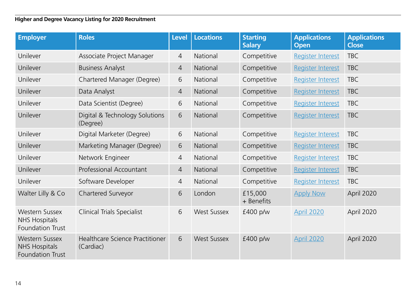| <b>Employer</b>                                                          | <b>Roles</b>                                 | <b>Level</b>   | <b>Locations</b>   | <b>Starting</b><br><b>Salary</b> | <b>Applications</b><br><b>Open</b> | <b>Applications</b><br><b>Close</b> |
|--------------------------------------------------------------------------|----------------------------------------------|----------------|--------------------|----------------------------------|------------------------------------|-------------------------------------|
| Unilever                                                                 | Associate Project Manager                    | 4              | National           | Competitive                      | <b>Register Interest</b>           | <b>TBC</b>                          |
| Unilever                                                                 | <b>Business Analyst</b>                      | $\overline{4}$ | National           | Competitive                      | Register Interest                  | <b>TBC</b>                          |
| Unilever                                                                 | Chartered Manager (Degree)                   | 6              | National           | Competitive                      | <b>Register Interest</b>           | <b>TBC</b>                          |
| Unilever                                                                 | Data Analyst                                 | $\overline{4}$ | National           | Competitive                      | <b>Register Interest</b>           | <b>TBC</b>                          |
| Unilever                                                                 | Data Scientist (Degree)                      | 6              | National           | Competitive                      | <b>Register Interest</b>           | <b>TBC</b>                          |
| Unilever                                                                 | Digital & Technology Solutions<br>(Degree)   | 6              | National           | Competitive                      | <b>Register Interest</b>           | <b>TBC</b>                          |
| Unilever                                                                 | Digital Marketer (Degree)                    | 6              | National           | Competitive                      | <b>Register Interest</b>           | TBC.                                |
| Unilever                                                                 | Marketing Manager (Degree)                   | 6              | National           | Competitive                      | <b>Register Interest</b>           | <b>TBC</b>                          |
| Unilever                                                                 | Network Engineer                             | 4              | National           | Competitive                      | <b>Register Interest</b>           | <b>TBC</b>                          |
| Unilever                                                                 | Professional Accountant                      | 4              | National           | Competitive                      | <b>Register Interest</b>           | <b>TBC</b>                          |
| Unilever                                                                 | Software Developer                           | 4              | National           | Competitive                      | <b>Register Interest</b>           | <b>TBC</b>                          |
| Walter Lilly & Co                                                        | Chartered Surveyor                           | 6              | London             | £15,000<br>+ Benefits            | <b>Apply Now</b>                   | April 2020                          |
| Western Sussex<br><b>NHS Hospitals</b><br>Foundation Trust               | <b>Clinical Trials Specialist</b>            | 6              | <b>West Sussex</b> | £400 p/w                         | <b>April 2020</b>                  | April 2020                          |
| <b>Western Sussex</b><br><b>NHS Hospitals</b><br><b>Foundation Trust</b> | Healthcare Science Practitioner<br>(Cardiac) | 6              | <b>West Sussex</b> | £400 p/w                         | April 2020                         | April 2020                          |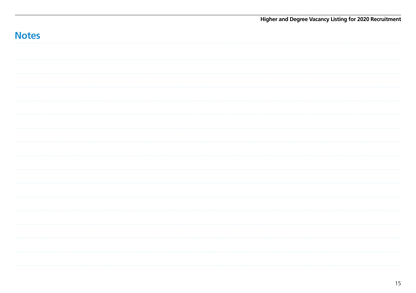|              | Higher and Degree Vacancy Listing for 2020 Recruitment |
|--------------|--------------------------------------------------------|
| <b>Notes</b> |                                                        |
|              |                                                        |
|              |                                                        |
|              |                                                        |
|              |                                                        |
|              |                                                        |
|              |                                                        |
|              |                                                        |
|              |                                                        |
|              |                                                        |
|              |                                                        |
|              |                                                        |
|              |                                                        |
|              |                                                        |
|              |                                                        |
|              |                                                        |
|              |                                                        |